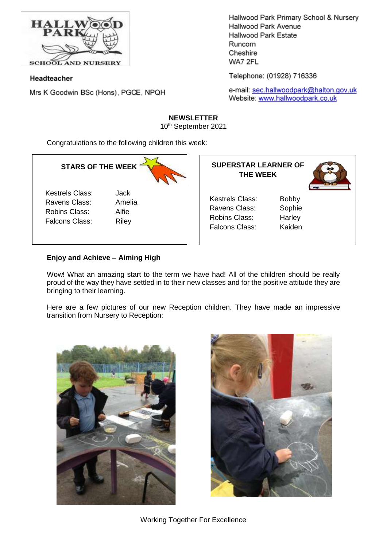

Headteacher

Mrs K Goodwin BSc (Hons), PGCE, NPQH

Hallwood Park Primary School & Nursery Hallwood Park Avenue Hallwood Park Estate Runcorn Cheshire WA7 2FL

Telephone: (01928) 716336

e-mail: sec.hallwoodpark@halton.gov.uk Website: www.hallwoodpark.co.uk

#### **NEWSLETTER**

10th September 2021

Congratulations to the following children this week:

# **STARS OF THE WEEK**

Kestrels Class: Jack Ravens Class: Amelia Robins Class: Alfie Falcons Class: Riley

| <b>SUPERSTAR LEARNER OF</b><br><b>THE WEEK</b> |              |
|------------------------------------------------|--------------|
| Kestrels Class:                                | <b>Bobby</b> |
| Ravens Class:                                  | Sophie       |
| Robins Class:                                  | Harley       |
| Falcons Class:                                 | Kaiden       |
|                                                |              |

# **Enjoy and Achieve – Aiming High**

Wow! What an amazing start to the term we have had! All of the children should be really proud of the way they have settled in to their new classes and for the positive attitude they are bringing to their learning.

Here are a few pictures of our new Reception children. They have made an impressive transition from Nursery to Reception:



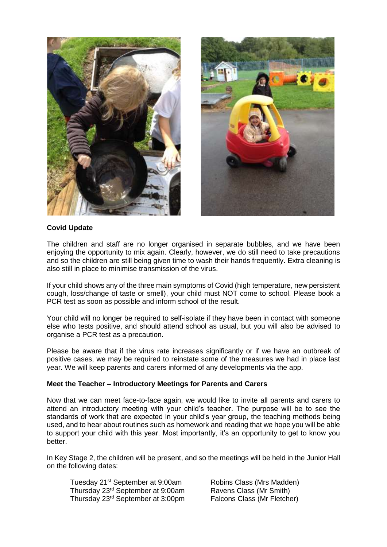

### **Covid Update**

The children and staff are no longer organised in separate bubbles, and we have been enjoying the opportunity to mix again. Clearly, however, we do still need to take precautions and so the children are still being given time to wash their hands frequently. Extra cleaning is also still in place to minimise transmission of the virus.

If your child shows any of the three main symptoms of Covid (high temperature, new persistent cough, loss/change of taste or smell), your child must NOT come to school. Please book a PCR test as soon as possible and inform school of the result.

Your child will no longer be required to self-isolate if they have been in contact with someone else who tests positive, and should attend school as usual, but you will also be advised to organise a PCR test as a precaution.

Please be aware that if the virus rate increases significantly or if we have an outbreak of positive cases, we may be required to reinstate some of the measures we had in place last year. We will keep parents and carers informed of any developments via the app.

#### **Meet the Teacher – Introductory Meetings for Parents and Carers**

Now that we can meet face-to-face again, we would like to invite all parents and carers to attend an introductory meeting with your child's teacher. The purpose will be to see the standards of work that are expected in your child's year group, the teaching methods being used, and to hear about routines such as homework and reading that we hope you will be able to support your child with this year. Most importantly, it's an opportunity to get to know you better.

In Key Stage 2, the children will be present, and so the meetings will be held in the Junior Hall on the following dates:

Tuesday 21<sup>st</sup> September at 9:00am Robins Class (Mrs Madden) Thursday 23rd September at 9:00am Ravens Class (Mr Smith) Thursday 23rd September at 3:00pm Falcons Class (Mr Fletcher)